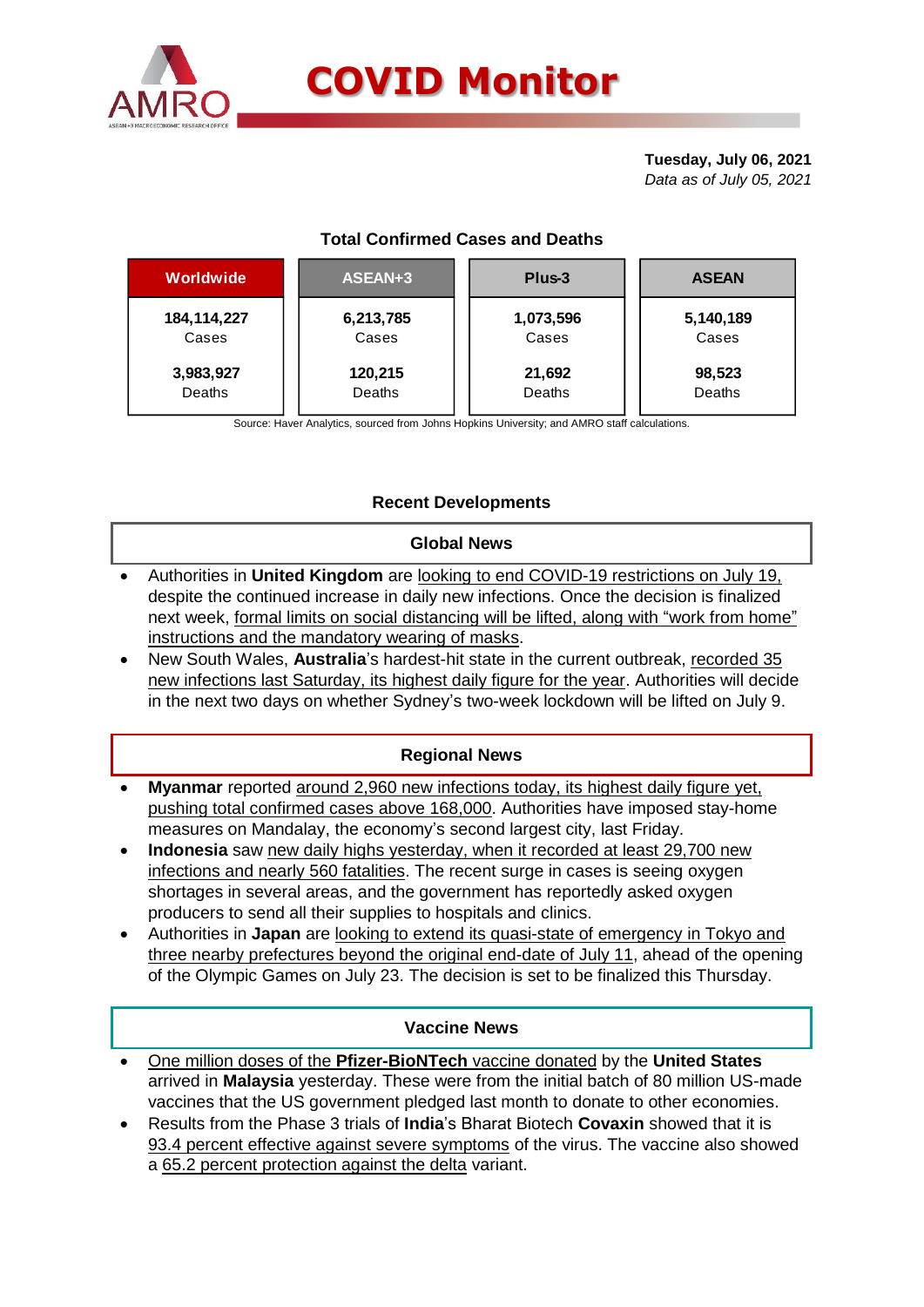

# **COVID Monitor**

**Tuesday, July 06, 2021** *Data as of July 05, 2021*

# **Total Confirmed Cases and Deaths**

| Worldwide     | ASEAN+3   | Plus-3    | <b>ASEAN</b> |  |  |
|---------------|-----------|-----------|--------------|--|--|
| 184, 114, 227 | 6,213,785 | 1,073,596 | 5,140,189    |  |  |
| Cases         | Cases     | Cases     | Cases        |  |  |
| 3,983,927     | 120,215   | 21,692    | 98,523       |  |  |
| Deaths        | Deaths    | Deaths    | Deaths       |  |  |

Source: Haver Analytics, sourced from Johns Hopkins University; and AMRO staff calculations.

# **Recent Developments**

### **Global News**

- Authorities in **United Kingdom** are looking to end COVID-19 restrictions on July 19, despite the continued increase in daily new infections. Once the decision is finalized next week, formal limits on social distancing will be lifted, along with "work from home" instructions and the mandatory wearing of masks.
- New South Wales, **Australia**'s hardest-hit state in the current outbreak, recorded 35 new infections last Saturday, its highest daily figure for the year. Authorities will decide in the next two days on whether Sydney's two-week lockdown will be lifted on July 9.

#### **Regional News**

- **Myanmar** reported around 2,960 new infections today, its highest daily figure yet, pushing total confirmed cases above 168,000. Authorities have imposed stay-home measures on Mandalay, the economy's second largest city, last Friday.
- **Indonesia** saw new daily highs yesterday, when it recorded at least 29,700 new infections and nearly 560 fatalities. The recent surge in cases is seeing oxygen shortages in several areas, and the government has reportedly asked oxygen producers to send all their supplies to hospitals and clinics.
- Authorities in **Japan** are looking to extend its [quasi-state of emergency](https://asia.nikkei.com/Spotlight/Coronavirus/Japan-to-extend-COVID-restrictions-for-30m-people-until-after-Olympics) in Tokyo and three nearby prefectures beyond the original end-date of July 11, ahead of the opening of the Olympic Games on July 23. The decision is set to be finalized this Thursday.

### **Vaccine News**

- One million doses of the **Pfizer-BioNTech** vaccine donated by the **United States** arrived in **Malaysia** yesterday. These were from the initial batch of 80 million US-made vaccines that the US government pledged last month to donate to other economies.
- Results from the Phase 3 trials of **India**'s Bharat Biotech **Covaxin** showed that it is 93.4 percent effective against severe symptoms of the virus. The vaccine also showed a 65.2 percent protection against the delta variant.